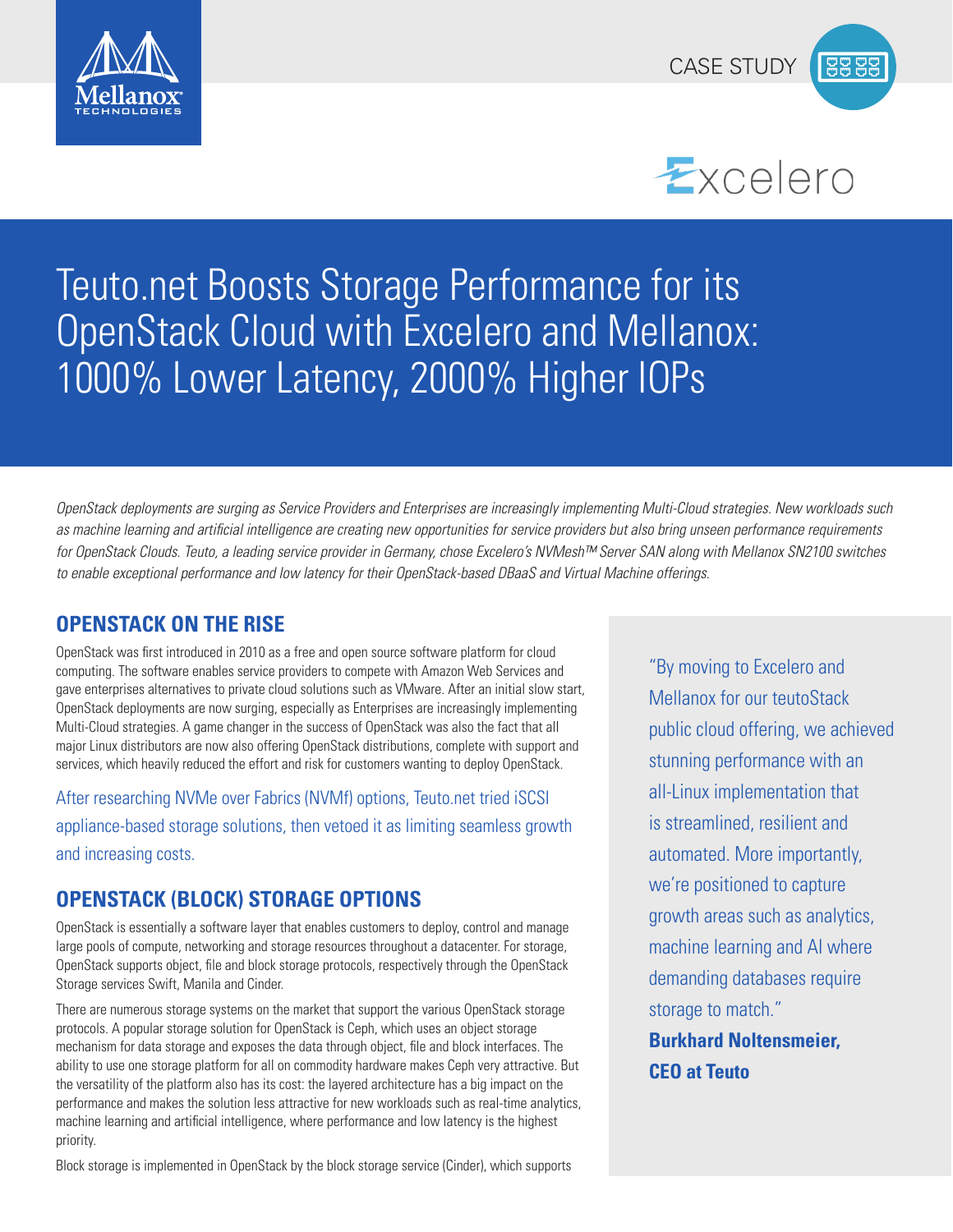





# Teuto.net Boosts Storage Performance for its OpenStack Cloud with Excelero and Mellanox: 1000% Lower Latency, 2000% Higher IOPs

*OpenStack deployments are surging as Service Providers and Enterprises are increasingly implementing Multi-Cloud strategies. New workloads such*  as machine learning and artificial intelligence are creating new opportunities for service providers but also bring unseen performance requirements for OpenStack Clouds. Teuto, a leading service provider in Germany, chose Excelero's NVMesh™ Server SAN along with Mellanox SN2100 switches to enable exceptional performance and low latency for their OpenStack-based DBaaS and Virtual Machine offerings.

# **OPENSTACK ON THE RISE**

OpenStack was first introduced in 2010 as a free and open source software platform for cloud computing. The software enables service providers to compete with Amazon Web Services and gave enterprises alternatives to private cloud solutions such as VMware. After an initial slow start, OpenStack deployments are now surging, especially as Enterprises are increasingly implementing Multi-Cloud strategies. A game changer in the success of OpenStack was also the fact that all major Linux distributors are now also offering OpenStack distributions, complete with support and services, which heavily reduced the effort and risk for customers wanting to deploy OpenStack.

After researching NVMe over Fabrics (NVMf) options, Teuto.net tried iSCSI appliance-based storage solutions, then vetoed it as limiting seamless growth and increasing costs.

# **OPENSTACK (BLOCK) STORAGE OPTIONS**

OpenStack is essentially a software layer that enables customers to deploy, control and manage large pools of compute, networking and storage resources throughout a datacenter. For storage, OpenStack supports object, file and block storage protocols, respectively through the OpenStack Storage services Swift, Manila and Cinder.

There are numerous storage systems on the market that support the various OpenStack storage protocols. A popular storage solution for OpenStack is Ceph, which uses an object storage mechanism for data storage and exposes the data through object, file and block interfaces. The ability to use one storage platform for all on commodity hardware makes Ceph very attractive. But the versatility of the platform also has its cost: the layered architecture has a big impact on the performance and makes the solution less attractive for new workloads such as real-time analytics, machine learning and artificial intelligence, where performance and low latency is the highest priority.

Block storage is implemented in OpenStack by the block storage service (Cinder), which supports

"By moving to Excelero and Mellanox for our teutoStack public cloud offering, we achieved stunning performance with an all-Linux implementation that is streamlined, resilient and automated. More importantly, we're positioned to capture growth areas such as analytics, machine learning and AI where demanding databases require storage to match." **Burkhard Noltensmeier, CEO at Teuto**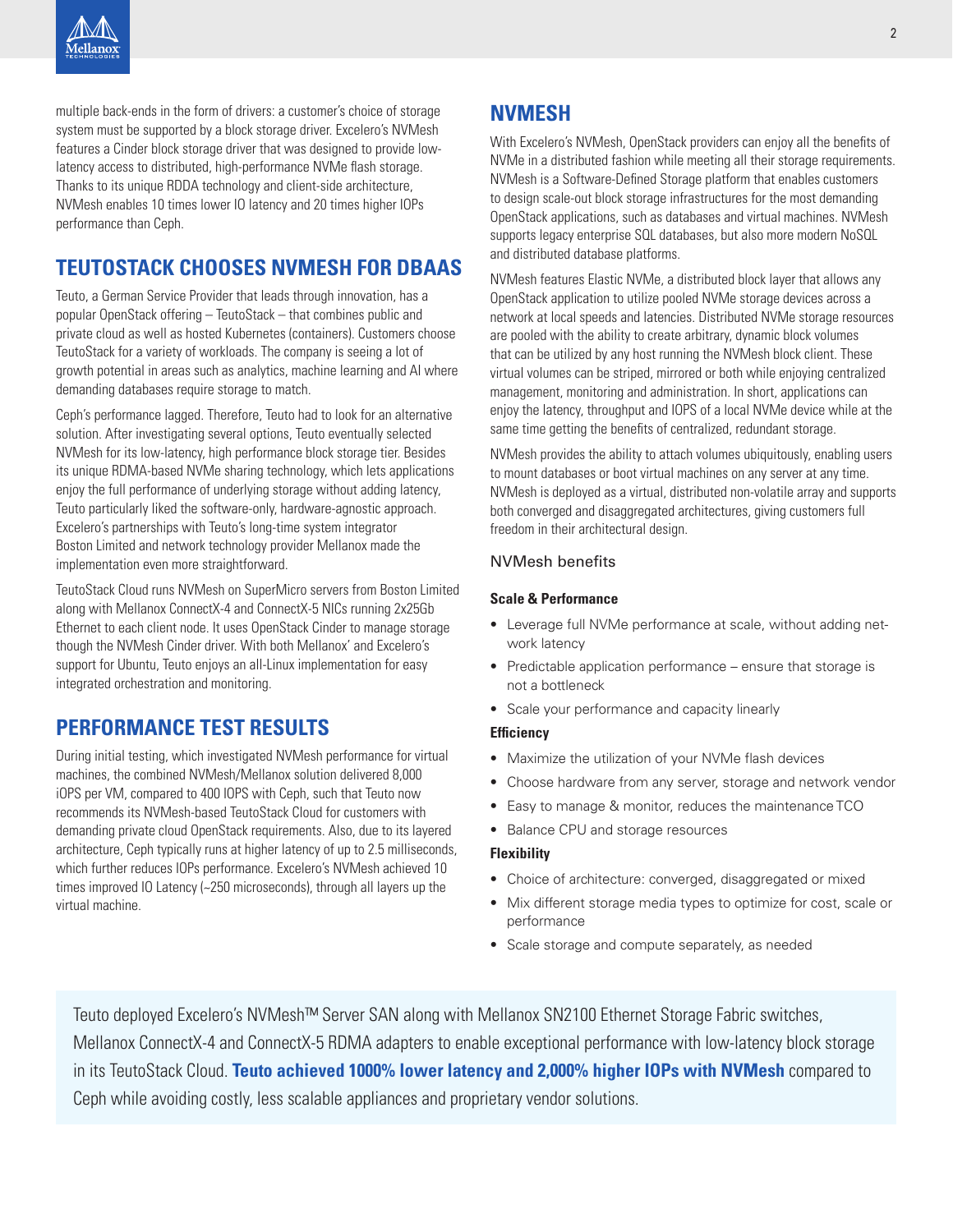multiple back-ends in the form of drivers: a customer's choice of storage system must be supported by a block storage driver. Excelero's NVMesh features a Cinder block storage driver that was designed to provide lowlatency access to distributed, high-performance NVMe flash storage. Thanks to its unique RDDA technology and client-side architecture, NVMesh enables 10 times lower IO latency and 20 times higher IOPs performance than Ceph.

# **TEUTOSTACK CHOOSES NVMESH FOR DBAAS**

Teuto, a German Service Provider that leads through innovation, has a popular OpenStack offering – TeutoStack – that combines public and private cloud as well as hosted Kubernetes (containers). Customers choose TeutoStack for a variety of workloads. The company is seeing a lot of growth potential in areas such as analytics, machine learning and AI where demanding databases require storage to match.

Ceph's performance lagged. Therefore, Teuto had to look for an alternative solution. After investigating several options, Teuto eventually selected NVMesh for its low-latency, high performance block storage tier. Besides its unique RDMA-based NVMe sharing technology, which lets applications enjoy the full performance of underlying storage without adding latency, Teuto particularly liked the software-only, hardware-agnostic approach. Excelero's partnerships with Teuto's long-time system integrator Boston Limited and network technology provider Mellanox made the implementation even more straightforward.

TeutoStack Cloud runs NVMesh on SuperMicro servers from Boston Limited along with Mellanox ConnectX-4 and ConnectX-5 NICs running 2x25Gb Ethernet to each client node. It uses OpenStack Cinder to manage storage though the NVMesh Cinder driver. With both Mellanox' and Excelero's support for Ubuntu, Teuto enjoys an all-Linux implementation for easy integrated orchestration and monitoring.

# **PERFORMANCE TEST RESULTS**

During initial testing, which investigated NVMesh performance for virtual machines, the combined NVMesh/Mellanox solution delivered 8,000 iOPS per VM, compared to 400 IOPS with Ceph, such that Teuto now recommends its NVMesh-based TeutoStack Cloud for customers with demanding private cloud OpenStack requirements. Also, due to its layered architecture, Ceph typically runs at higher latency of up to 2.5 milliseconds, which further reduces IOPs performance. Excelero's NVMesh achieved 10 times improved IO Latency (~250 microseconds), through all layers up the virtual machine.

# **NVMESH**

With Excelero's NVMesh, OpenStack providers can enjoy all the benefits of NVMe in a distributed fashion while meeting all their storage requirements. NVMesh is a Software-Defined Storage platform that enables customers to design scale-out block storage infrastructures for the most demanding OpenStack applications, such as databases and virtual machines. NVMesh supports legacy enterprise SQL databases, but also more modern NoSQL and distributed database platforms.

NVMesh features Elastic NVMe, a distributed block layer that allows any OpenStack application to utilize pooled NVMe storage devices across a network at local speeds and latencies. Distributed NVMe storage resources are pooled with the ability to create arbitrary, dynamic block volumes that can be utilized by any host running the NVMesh block client. These virtual volumes can be striped, mirrored or both while enjoying centralized management, monitoring and administration. In short, applications can enjoy the latency, throughput and IOPS of a local NVMe device while at the same time getting the benefits of centralized, redundant storage.

NVMesh provides the ability to attach volumes ubiquitously, enabling users to mount databases or boot virtual machines on any server at any time. NVMesh is deployed as a virtual, distributed non-volatile array and supports both converged and disaggregated architectures, giving customers full freedom in their architectural design.

## NVMesh benefits

## **Scale & Performance**

- Leverage full NVMe performance at scale, without adding network latency
- Predictable application performance ensure that storage is not a bottleneck
- Scale your performance and capacity linearly

## **Efficiency**

- Maximize the utilization of your NVMe flash devices
- Choose hardware from any server, storage and network vendor
- Easy to manage & monitor, reduces the maintenance TCO
- Balance CPU and storage resources

### **Flexibility**

- Choice of architecture: converged, disaggregated or mixed
- Mix different storage media types to optimize for cost, scale or performance
- Scale storage and compute separately, as needed

Teuto deployed Excelero's NVMesh™ Server SAN along with Mellanox SN2100 Ethernet Storage Fabric switches, Mellanox ConnectX-4 and ConnectX-5 RDMA adapters to enable exceptional performance with low-latency block storage in its TeutoStack Cloud. **Teuto achieved 1000% lower latency and 2,000% higher IOPs with NVMesh** compared to Ceph while avoiding costly, less scalable appliances and proprietary vendor solutions.